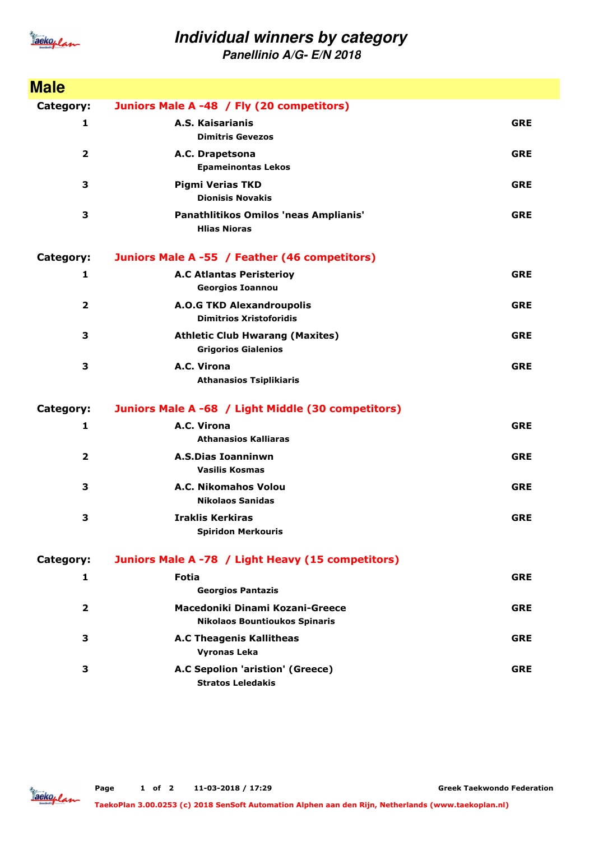

## **Individual winners by category**

**Panellinio A/G- E/N 2018**

| <b>Male</b>             |                                                                         |            |
|-------------------------|-------------------------------------------------------------------------|------------|
| Category:               | Juniors Male A -48 / Fly (20 competitors)                               |            |
| 1                       | A.S. Kaisarianis<br><b>Dimitris Gevezos</b>                             | <b>GRE</b> |
| $\mathbf{2}$            | A.C. Drapetsona<br><b>Epameinontas Lekos</b>                            | <b>GRE</b> |
| 3                       | <b>Pigmi Verias TKD</b><br><b>Dionisis Novakis</b>                      | <b>GRE</b> |
| 3                       | Panathlitikos Omilos 'neas Amplianis'<br><b>Hlias Nioras</b>            | <b>GRE</b> |
| Category:               | Juniors Male A -55 / Feather (46 competitors)                           |            |
| 1                       | <b>A.C Atlantas Peristerioy</b><br><b>Georgios Ioannou</b>              | <b>GRE</b> |
| $\overline{\mathbf{2}}$ | <b>A.O.G TKD Alexandroupolis</b><br><b>Dimitrios Xristoforidis</b>      | <b>GRE</b> |
| 3                       | <b>Athletic Club Hwarang (Maxites)</b><br><b>Grigorios Gialenios</b>    | <b>GRE</b> |
| 3                       | A.C. Virona<br><b>Athanasios Tsiplikiaris</b>                           | <b>GRE</b> |
| Category:               | Juniors Male A -68 / Light Middle (30 competitors)                      |            |
| 1                       | A.C. Virona<br><b>Athanasios Kalliaras</b>                              | <b>GRE</b> |
| $\overline{2}$          | <b>A.S.Dias Ioanninwn</b><br><b>Vasilis Kosmas</b>                      | <b>GRE</b> |
| 3                       | A.C. Nikomahos Volou<br><b>Nikolaos Sanidas</b>                         | <b>GRE</b> |
| 3                       | <b>Iraklis Kerkiras</b><br><b>Spiridon Merkouris</b>                    | <b>GRE</b> |
| Category:               | Juniors Male A -78 / Light Heavy (15 competitors)                       |            |
| 1                       | <b>Fotia</b><br><b>Georgios Pantazis</b>                                | <b>GRE</b> |
| 2                       | Macedoniki Dinami Kozani-Greece<br><b>Nikolaos Bountioukos Spinaris</b> | <b>GRE</b> |
| 3                       | <b>A.C Theagenis Kallitheas</b><br><b>Vyronas Leka</b>                  | <b>GRE</b> |
| 3                       | A.C Sepolion 'aristion' (Greece)<br><b>Stratos Leledakis</b>            | <b>GRE</b> |

**Greek Taekwondo Federation**